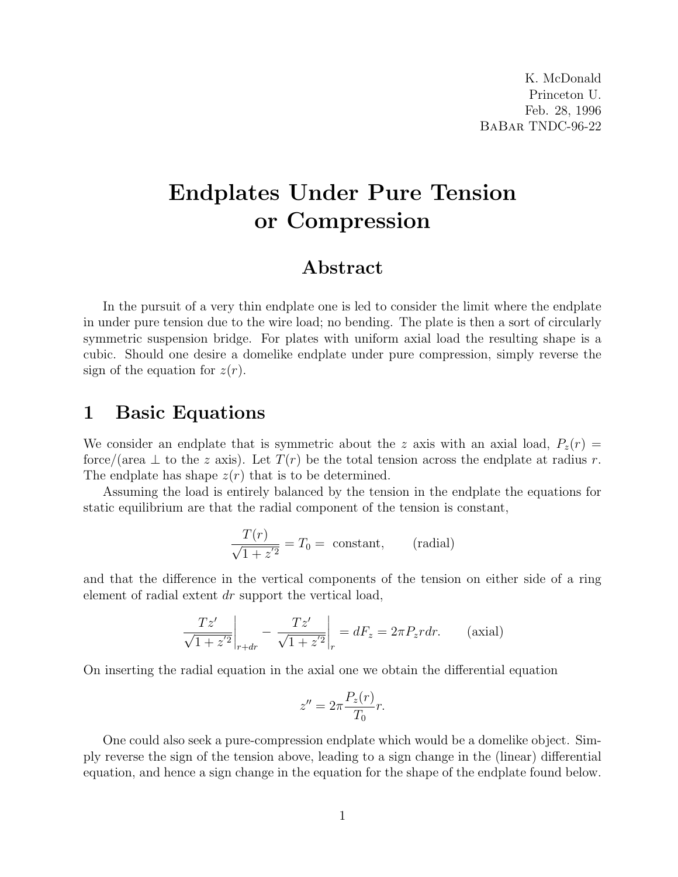# Endplates Under Pure Tension or Compression

#### Abstract

In the pursuit of a very thin endplate one is led to consider the limit where the endplate in under pure tension due to the wire load; no bending. The plate is then a sort of circularly symmetric suspension bridge. For plates with uniform axial load the resulting shape is a cubic. Should one desire a domelike endplate under pure compression, simply reverse the sign of the equation for  $z(r)$ .

### 1 Basic Equations

We consider an endplate that is symmetric about the z axis with an axial load,  $P_z(r)$ force/(area  $\perp$  to the z axis). Let  $T(r)$  be the total tension across the endplate at radius r. The endplate has shape  $z(r)$  that is to be determined.

Assuming the load is entirely balanced by the tension in the endplate the equations for static equilibrium are that the radial component of the tension is constant,

$$
\frac{T(r)}{\sqrt{1+z'^2}} = T_0 = \text{ constant}, \qquad \text{(radial)}
$$

and that the difference in the vertical components of the tension on either side of a ring element of radial extent dr support the vertical load,

$$
\frac{Tz'}{\sqrt{1+z'^2}}\bigg|_{r+dr} - \frac{Tz'}{\sqrt{1+z'^2}}\bigg|_r = dF_z = 2\pi P_z r dr.
$$
 (axial)

On inserting the radial equation in the axial one we obtain the differential equation

$$
z'' = 2\pi \frac{P_z(r)}{T_0}r.
$$

One could also seek a pure-compression endplate which would be a domelike object. Simply reverse the sign of the tension above, leading to a sign change in the (linear) differential equation, and hence a sign change in the equation for the shape of the endplate found below.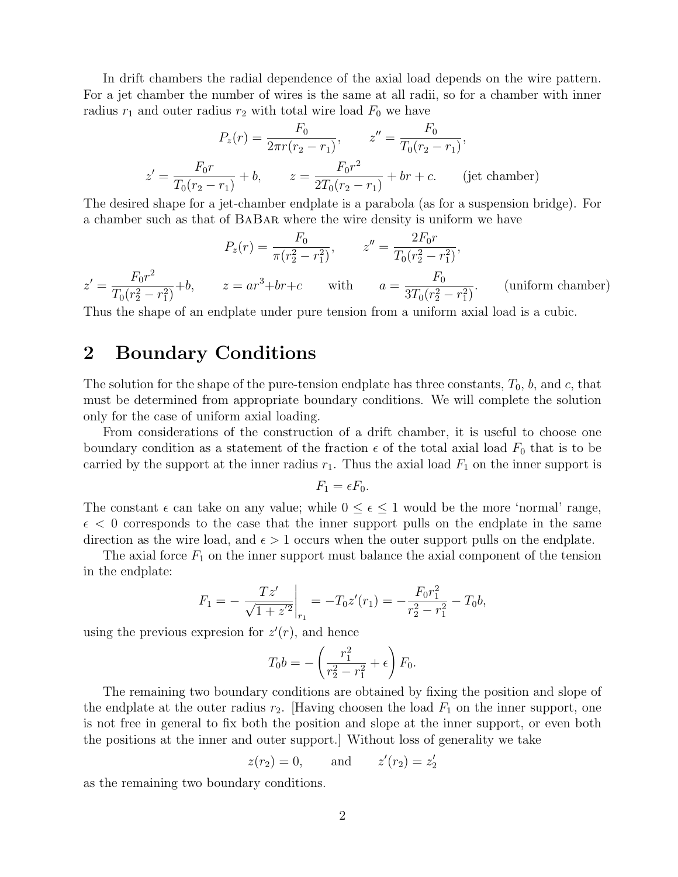In drift chambers the radial dependence of the axial load depends on the wire pattern. For a jet chamber the number of wires is the same at all radii, so for a chamber with inner radius  $r_1$  and outer radius  $r_2$  with total wire load  $F_0$  we have

$$
P_z(r) = \frac{F_0}{2\pi r(r_2 - r_1)}, \qquad z'' = \frac{F_0}{T_0(r_2 - r_1)},
$$
  

$$
z' = \frac{F_0r}{T_0(r_2 - r_1)} + b, \qquad z = \frac{F_0r^2}{2T_0(r_2 - r_1)} + br + c. \qquad \text{(jet chamber)}
$$

The desired shape for a jet-chamber endplate is a parabola (as for a suspension bridge). For a chamber such as that of BaBar where the wire density is uniform we have

$$
P_z(r) = \frac{F_0}{\pi (r_2^2 - r_1^2)}, \qquad z'' = \frac{2F_0 r}{T_0 (r_2^2 - r_1^2)},
$$
  

$$
z' = \frac{F_0 r^2}{T_0 (r_2^2 - r_1^2)} + b, \qquad z = ar^3 + br + c \qquad \text{with} \qquad a = \frac{F_0}{3T_0 (r_2^2 - r_1^2)}.
$$
 (uniform chamber)

Thus the shape of an endplate under pure tension from a uniform axial load is a cubic.

## 2 Boundary Conditions

The solution for the shape of the pure-tension endplate has three constants,  $T_0$ ,  $b$ , and  $c$ , that must be determined from appropriate boundary conditions. We will complete the solution only for the case of uniform axial loading.

From considerations of the construction of a drift chamber, it is useful to choose one boundary condition as a statement of the fraction  $\epsilon$  of the total axial load  $F_0$  that is to be carried by the support at the inner radius  $r_1$ . Thus the axial load  $F_1$  on the inner support is

$$
F_1 = \epsilon F_0.
$$

The constant  $\epsilon$  can take on any value; while  $0 \leq \epsilon \leq 1$  would be the more 'normal' range,  $\epsilon$  < 0 corresponds to the case that the inner support pulls on the endplate in the same direction as the wire load, and  $\epsilon > 1$  occurs when the outer support pulls on the endplate.

The axial force  $F_1$  on the inner support must balance the axial component of the tension in the endplate:

$$
F_1 = -\left. \frac{Tz'}{\sqrt{1+z'^2}} \right|_{r_1} = -T_0 z'(r_1) = -\frac{F_0 r_1^2}{r_2^2 - r_1^2} - T_0 b,
$$

using the previous expresion for  $z'(r)$ , and hence

$$
T_0 b = -\left(\frac{r_1^2}{r_2^2 - r_1^2} + \epsilon\right) F_0.
$$

The remaining two boundary conditions are obtained by fixing the position and slope of the endplate at the outer radius  $r_2$ . [Having choosen the load  $F_1$  on the inner support, one is not free in general to fix both the position and slope at the inner support, or even both the positions at the inner and outer support.] Without loss of generality we take

$$
z(r_2) = 0
$$
, and  $z'(r_2) = z'_2$ 

as the remaining two boundary conditions.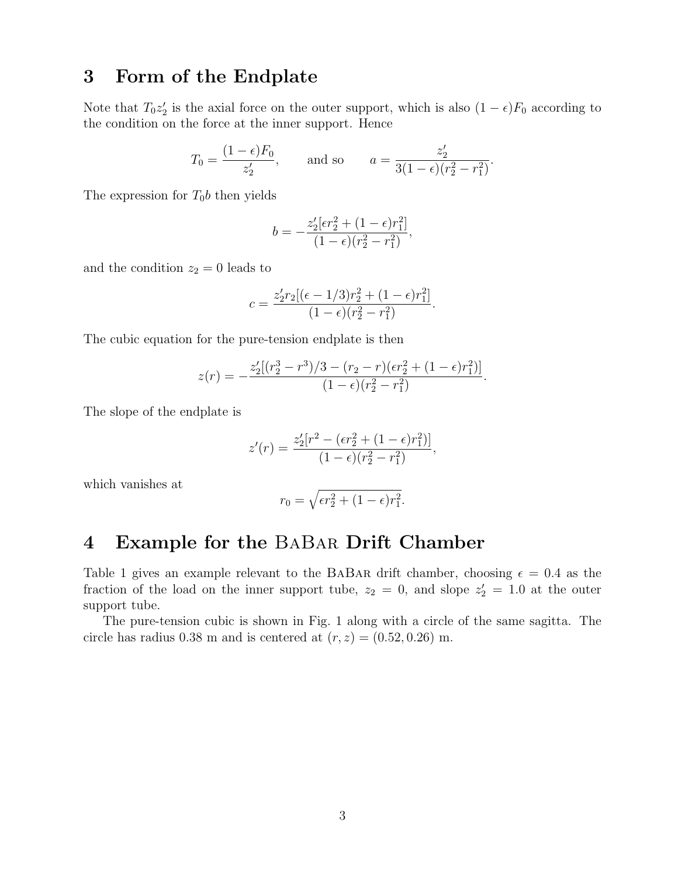## 3 Form of the Endplate

Note that  $T_0 z_2'$  is the axial force on the outer support, which is also  $(1 - \epsilon)F_0$  according to the condition on the force at the inner support. Hence

$$
T_0 = \frac{(1 - \epsilon)F_0}{z'_2}
$$
, and so  $a = \frac{z'_2}{3(1 - \epsilon)(r_2^2 - r_1^2)}$ .

The expression for  $T_0b$  then yields

$$
b = -\frac{z_2'[\epsilon r_2^2 + (1 - \epsilon)r_1^2]}{(1 - \epsilon)(r_2^2 - r_1^2)},
$$

and the condition  $z_2 = 0$  leads to

$$
c = \frac{z'_2 r_2 [(\epsilon - 1/3)r_2^2 + (1 - \epsilon)r_1^2]}{(1 - \epsilon)(r_2^2 - r_1^2)}.
$$

The cubic equation for the pure-tension endplate is then

$$
z(r) = -\frac{z_2'[(r_2^3 - r^3)/3 - (r_2 - r)(\epsilon r_2^2 + (1 - \epsilon)r_1^2)]}{(1 - \epsilon)(r_2^2 - r_1^2)}.
$$

The slope of the endplate is

$$
z'(r) = \frac{z'_2[r^2 - (\epsilon r_2^2 + (1 - \epsilon)r_1^2)]}{(1 - \epsilon)(r_2^2 - r_1^2)},
$$

which vanishes at

$$
r_0 = \sqrt{\epsilon r_2^2 + (1 - \epsilon)r_1^2}.
$$

#### 4 Example for the BaBar Drift Chamber

Table 1 gives an example relevant to the BABAR drift chamber, choosing  $\epsilon = 0.4$  as the fraction of the load on the inner support tube,  $z_2 = 0$ , and slope  $z'_2 = 1.0$  at the outer support tube.

The pure-tension cubic is shown in Fig. 1 along with a circle of the same sagitta. The circle has radius 0.38 m and is centered at  $(r, z) = (0.52, 0.26)$  m.